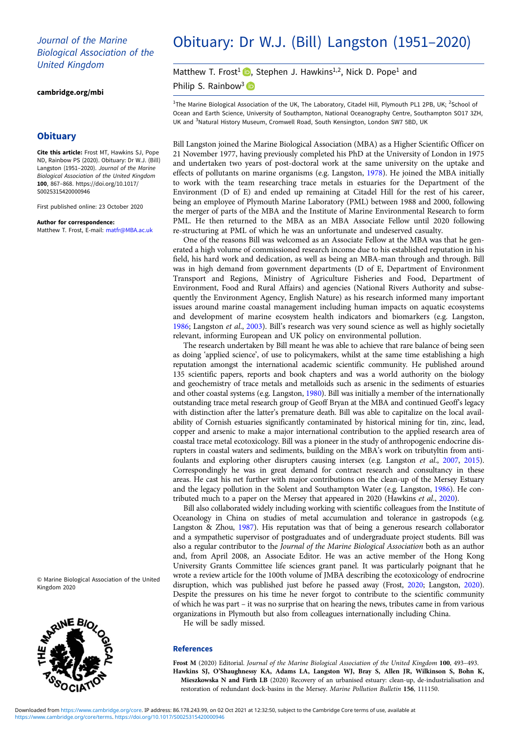## Journal of the Marine Biological Association of the United Kingdom

#### [cambridge.org/mbi](https://www.cambridge.org/mbi)

## **Obituary**

Cite this article: Frost MT, Hawkins SJ, Pope ND, Rainbow PS (2020). Obituary: Dr W.J. (Bill) Langston (1951–2020). Journal of the Marine Biological Association of the United Kingdom 100, 867–868. [https://doi.org/10.1017/](https://doi.org/10.1017/S0025315420000946) [S0025315420000946](https://doi.org/10.1017/S0025315420000946)

First published online: 23 October 2020

#### Author for correspondence:

Matthew T. Frost, E-mail: [matfr@MBA.ac.uk](mailto:matfr@MBA.ac.uk)

© Marine Biological Association of the United Kingdom 2020



# Obituary: Dr W.J. (Bill) Langston (1951–2020)

Matthew T. Frost<sup>1</sup> **D**. Stephen J. Hawkins<sup>1[,](https://orcid.org/0000-0002-6369-2257)2</sup>, Nick D. Pope<sup>1</sup> and Philip S. Rainbow<sup>3</sup>

<sup>1</sup>The Marine Biological Association of the UK, The Laboratory, Citadel Hill, Plymouth PL1 2PB, UK; <sup>2</sup>School of Ocean and Earth Science, University of Southampton, National Oceanography Centre, Southampton SO17 3ZH, UK and <sup>3</sup>Natural History Museum, Cromwell Road, South Kensington, London SW7 5BD, UK

Bill Langston joined the Marine Biological Association (MBA) as a Higher Scientific Officer on 21 November 1977, having previously completed his PhD at the University of London in 1975 and undertaken two years of post-doctoral work at the same university on the uptake and effects of pollutants on marine organisms (e.g. Langston, [1978\)](#page-1-0). He joined the MBA initially to work with the team researching trace metals in estuaries for the Department of the Environment (D of E) and ended up remaining at Citadel Hill for the rest of his career, being an employee of Plymouth Marine Laboratory (PML) between 1988 and 2000, following the merger of parts of the MBA and the Institute of Marine Environmental Research to form PML. He then returned to the MBA as an MBA Associate Fellow until 2020 following re-structuring at PML of which he was an unfortunate and undeserved casualty.

One of the reasons Bill was welcomed as an Associate Fellow at the MBA was that he generated a high volume of commissioned research income due to his established reputation in his field, his hard work and dedication, as well as being an MBA-man through and through. Bill was in high demand from government departments (D of E, Department of Environment Transport and Regions, Ministry of Agriculture Fisheries and Food, Department of Environment, Food and Rural Affairs) and agencies (National Rivers Authority and subsequently the Environment Agency, English Nature) as his research informed many important issues around marine coastal management including human impacts on aquatic ecosystems and development of marine ecosystem health indicators and biomarkers (e.g. Langston, [1986;](#page-1-0) Langston et al., [2003\)](#page-1-0). Bill's research was very sound science as well as highly societally relevant, informing European and UK policy on environmental pollution.

The research undertaken by Bill meant he was able to achieve that rare balance of being seen as doing 'applied science', of use to policymakers, whilst at the same time establishing a high reputation amongst the international academic scientific community. He published around 135 scientific papers, reports and book chapters and was a world authority on the biology and geochemistry of trace metals and metalloids such as arsenic in the sediments of estuaries and other coastal systems (e.g. Langston, [1980\)](#page-1-0). Bill was initially a member of the internationally outstanding trace metal research group of Geoff Bryan at the MBA and continued Geoff's legacy with distinction after the latter's premature death. Bill was able to capitalize on the local availability of Cornish estuaries significantly contaminated by historical mining for tin, zinc, lead, copper and arsenic to make a major international contribution to the applied research area of coastal trace metal ecotoxicology. Bill was a pioneer in the study of anthropogenic endocrine disrupters in coastal waters and sediments, building on the MBA's work on tributyltin from antifoulants and exploring other disrupters causing intersex (e.g. Langston et al., [2007,](#page-1-0) [2015](#page-1-0)). Correspondingly he was in great demand for contract research and consultancy in these areas. He cast his net further with major contributions on the clean-up of the Mersey Estuary and the legacy pollution in the Solent and Southampton Water (e.g. Langston, [1986](#page-1-0)). He contributed much to a paper on the Mersey that appeared in 2020 (Hawkins et al., 2020).

Bill also collaborated widely including working with scientific colleagues from the Institute of Oceanology in China on studies of metal accumulation and tolerance in gastropods (e.g. Langston & Zhou, [1987](#page-1-0)). His reputation was that of being a generous research collaborator and a sympathetic supervisor of postgraduates and of undergraduate project students. Bill was also a regular contributor to the Journal of the Marine Biological Association both as an author and, from April 2008, an Associate Editor. He was an active member of the Hong Kong University Grants Committee life sciences grant panel. It was particularly poignant that he wrote a review article for the 100th volume of JMBA describing the ecotoxicology of endrocrine disruption, which was published just before he passed away (Frost, 2020; Langston, [2020](#page-1-0)). Despite the pressures on his time he never forgot to contribute to the scientific community of which he was part – it was no surprise that on hearing the news, tributes came in from various organizations in Plymouth but also from colleagues internationally including China. He will be sadly missed.

### References

Frost M (2020) Editorial. Journal of the Marine Biological Association of the United Kingdom 100, 493-493. Hawkins SJ, O'Shaughnessy KA, Adams LA, Langston WJ, Bray S, Allen JR, Wilkinson S, Bohn K, Mieszkowska N and Firth LB (2020) Recovery of an urbanised estuary: clean-up, de-industrialisation and restoration of redundant dock-basins in the Mersey. Marine Pollution Bulletin 156, 111150.